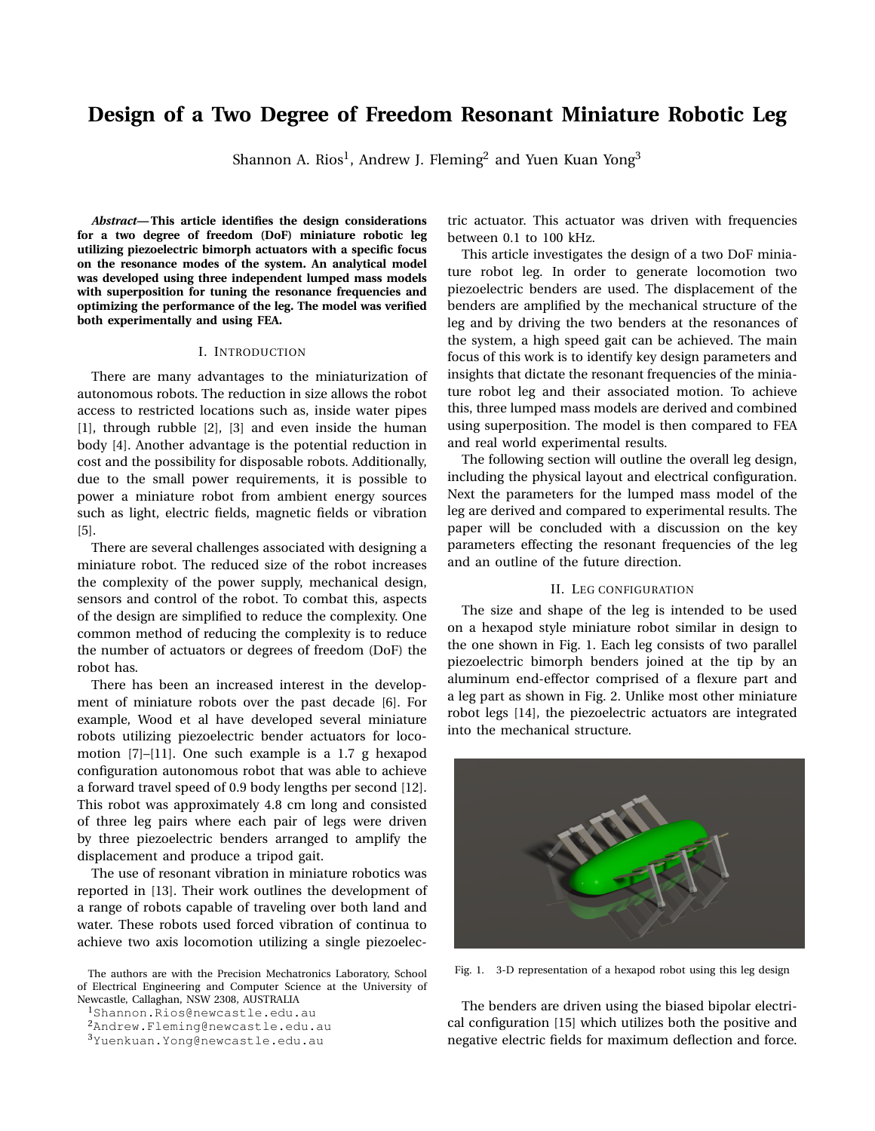# **Design of a Two Degree of Freedom Resonant Miniature Robotic Leg**

Shannon A. Rios $^{\rm l}$ , Andrew J. Fleming $^{\rm 2}$  and Yuen Kuan Yong $^{\rm 3}$ 

*Abstract***— This article identifies the design considerations for a two degree of freedom (DoF) miniature robotic leg utilizing piezoelectric bimorph actuators with a specific focus on the resonance modes of the system. An analytical model was developed using three independent lumped mass models with superposition for tuning the resonance frequencies and optimizing the performance of the leg. The model was verified both experimentally and using FEA.**

#### I. INTRODUCTION

There are many advantages to the miniaturization of autonomous robots. The reduction in size allows the robot access to restricted locations such as, inside water pipes [1], through rubble [2], [3] and even inside the human body [4]. Another advantage is the potential reduction in cost and the possibility for disposable robots. Additionally, due to the small power requirements, it is possible to power a miniature robot from ambient energy sources such as light, electric fields, magnetic fields or vibration [5].

There are several challenges associated with designing a miniature robot. The reduced size of the robot increases the complexity of the power supply, mechanical design, sensors and control of the robot. To combat this, aspects of the design are simplified to reduce the complexity. One common method of reducing the complexity is to reduce the number of actuators or degrees of freedom (DoF) the robot has.

There has been an increased interest in the development of miniature robots over the past decade [6]. For example, Wood et al have developed several miniature robots utilizing piezoelectric bender actuators for locomotion [7]–[11]. One such example is a 1.7 g hexapod configuration autonomous robot that was able to achieve a forward travel speed of 0.9 body lengths per second [12]. This robot was approximately 4.8 cm long and consisted of three leg pairs where each pair of legs were driven by three piezoelectric benders arranged to amplify the displacement and produce a tripod gait.

The use of resonant vibration in miniature robotics was reported in [13]. Their work outlines the development of a range of robots capable of traveling over both land and water. These robots used forced vibration of continua to achieve two axis locomotion utilizing a single piezoelec-

The authors are with the Precision Mechatronics Laboratory, School of Electrical Engineering and Computer Science at the University of Newcastle, Callaghan, NSW 2308, AUSTRALIA

<sup>1</sup>Shannon.Rios@newcastle.edu.au

tric actuator. This actuator was driven with frequencies between 0.1 to 100 kHz.

This article investigates the design of a two DoF miniature robot leg. In order to generate locomotion two piezoelectric benders are used. The displacement of the benders are amplified by the mechanical structure of the leg and by driving the two benders at the resonances of the system, a high speed gait can be achieved. The main focus of this work is to identify key design parameters and insights that dictate the resonant frequencies of the miniature robot leg and their associated motion. To achieve this, three lumped mass models are derived and combined using superposition. The model is then compared to FEA and real world experimental results.

The following section will outline the overall leg design, including the physical layout and electrical configuration. Next the parameters for the lumped mass model of the leg are derived and compared to experimental results. The paper will be concluded with a discussion on the key parameters effecting the resonant frequencies of the leg and an outline of the future direction.

# II. LEG CONFIGURATION

The size and shape of the leg is intended to be used on a hexapod style miniature robot similar in design to the one shown in Fig. 1. Each leg consists of two parallel piezoelectric bimorph benders joined at the tip by an aluminum end-effector comprised of a flexure part and a leg part as shown in Fig. 2. Unlike most other miniature robot legs [14], the piezoelectric actuators are integrated into the mechanical structure.



Fig. 1. 3-D representation of a hexapod robot using this leg design

The benders are driven using the biased bipolar electrical configuration [15] which utilizes both the positive and negative electric fields for maximum deflection and force.

<sup>2</sup>Andrew.Fleming@newcastle.edu.au

<sup>3</sup>Yuenkuan.Yong@newcastle.edu.au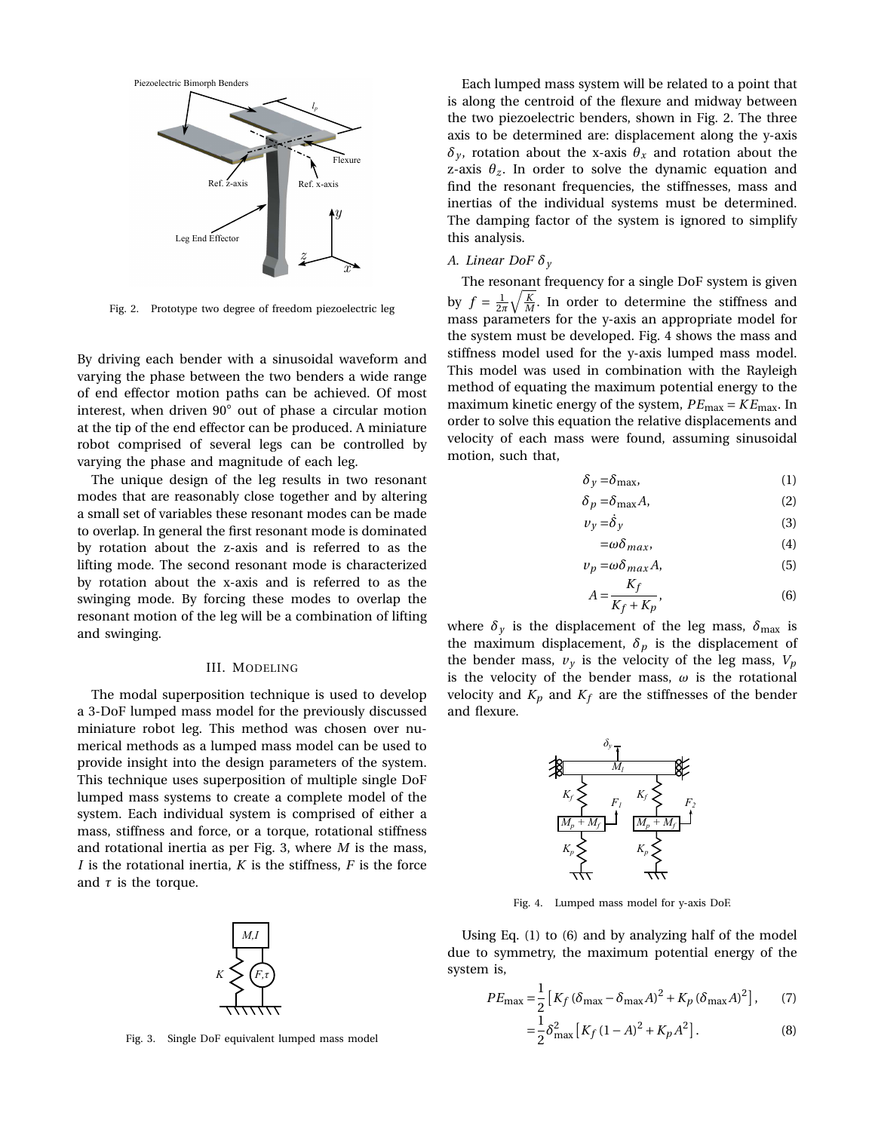

Fig. 2. Prototype two degree of freedom piezoelectric leg

By driving each bender with a sinusoidal waveform and varying the phase between the two benders a wide range of end effector motion paths can be achieved. Of most interest, when driven 90◦ out of phase a circular motion at the tip of the end effector can be produced. A miniature robot comprised of several legs can be controlled by varying the phase and magnitude of each leg.

The unique design of the leg results in two resonant modes that are reasonably close together and by altering a small set of variables these resonant modes can be made to overlap. In general the first resonant mode is dominated by rotation about the z-axis and is referred to as the lifting mode. The second resonant mode is characterized by rotation about the x-axis and is referred to as the swinging mode. By forcing these modes to overlap the resonant motion of the leg will be a combination of lifting and swinging.

### III. MODELING

The modal superposition technique is used to develop a 3-DoF lumped mass model for the previously discussed miniature robot leg. This method was chosen over numerical methods as a lumped mass model can be used to provide insight into the design parameters of the system. This technique uses superposition of multiple single DoF lumped mass systems to create a complete model of the system. Each individual system is comprised of either a mass, stiffness and force, or a torque, rotational stiffness and rotational inertia as per Fig. 3, where *M* is the mass, *I* is the rotational inertia, *K* is the stiffness, *F* is the force and  $\tau$  is the torque.



Fig. 3. Single DoF equivalent lumped mass model

Each lumped mass system will be related to a point that is along the centroid of the flexure and midway between the two piezoelectric benders, shown in Fig. 2. The three axis to be determined are: displacement along the y-axis *δ*<sup>*y*</sup>, rotation about the x-axis  $θ$ <sup>*x*</sup> and rotation about the z-axis  $\theta_z$ . In order to solve the dynamic equation and find the resonant frequencies, the stiffnesses, mass and inertias of the individual systems must be determined. The damping factor of the system is ignored to simplify this analysis.

# *A. Linear DoF δ<sup>y</sup>*

The resonant frequency for a single DoF system is given by  $f = \frac{1}{2\pi} \sqrt{\frac{K}{M}}$ . In order to determine the stiffness and mass parameters for the y-axis an appropriate model for the system must be developed. Fig. 4 shows the mass and stiffness model used for the y-axis lumped mass model. This model was used in combination with the Rayleigh method of equating the maximum potential energy to the maximum kinetic energy of the system,  $PE_{\text{max}} = KE_{\text{max}}$ . In order to solve this equation the relative displacements and velocity of each mass were found, assuming sinusoidal motion, such that,

$$
\delta_y = \delta_{\text{max}},\tag{1}
$$

$$
\delta_p = \delta_{\text{max}} A,\tag{2}
$$

$$
v_y = \dot{\delta}_y \tag{3}
$$

$$
=\omega\delta_{max},\tag{4}
$$

$$
v_p = \omega \delta_{max} A,
$$
\n
$$
A = \frac{K_f}{K_f},
$$
\n(6)

$$
A = \frac{1}{K_f + K_p},\tag{6}
$$

where  $\delta_y$  is the displacement of the leg mass,  $\delta_{\text{max}}$  is the maximum displacement,  $\delta_p$  is the displacement of the bender mass,  $v_y$  is the velocity of the leg mass,  $V_p$ is the velocity of the bender mass,  $\omega$  is the rotational velocity and  $K_p$  and  $K_f$  are the stiffnesses of the bender and flexure.



Fig. 4. Lumped mass model for y-axis DoF.

Using Eq. (1) to (6) and by analyzing half of the model due to symmetry, the maximum potential energy of the system is,

$$
PE_{\text{max}} = \frac{1}{2} \left[ K_f \left( \delta_{\text{max}} - \delta_{\text{max}} A \right)^2 + K_p \left( \delta_{\text{max}} A \right)^2 \right], \tag{7}
$$

$$
= \frac{1}{2} \delta_{\text{max}}^2 \left[ K_f \left( 1 - A \right)^2 + K_p A^2 \right]. \tag{8}
$$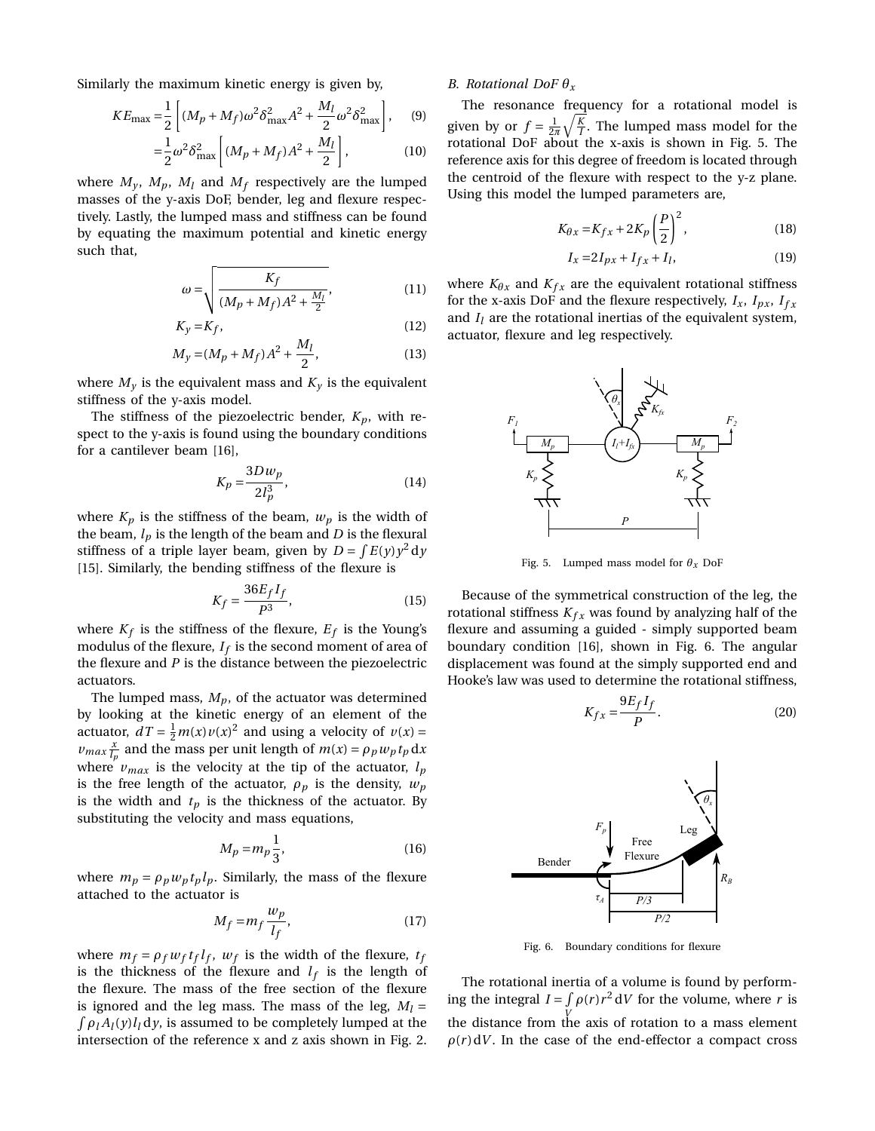Similarly the maximum kinetic energy is given by,

$$
KE_{\text{max}} = \frac{1}{2} \left[ (M_p + M_f) \omega^2 \delta_{\text{max}}^2 A^2 + \frac{M_l}{2} \omega^2 \delta_{\text{max}}^2 \right], \quad (9)
$$

$$
= \frac{1}{2}\omega^2 \delta_{\max}^2 \left[ (M_p + M_f)A^2 + \frac{M_l}{2} \right],
$$
 (10)

where  $M_v$ ,  $M_p$ ,  $M_l$  and  $M_f$  respectively are the lumped masses of the y-axis DoF, bender, leg and flexure respectively. Lastly, the lumped mass and stiffness can be found by equating the maximum potential and kinetic energy such that,

$$
\omega = \sqrt{\frac{K_f}{(M_p + M_f)A^2 + \frac{M_l}{2}}},
$$
\n(11)

$$
K_y = K_f,\tag{12}
$$

$$
M_y = (M_p + M_f)A^2 + \frac{M_l}{2},
$$
\n(13)

where  $M_{\nu}$  is the equivalent mass and  $K_{\nu}$  is the equivalent stiffness of the y-axis model.

The stiffness of the piezoelectric bender,  $K_p$ , with respect to the y-axis is found using the boundary conditions for a cantilever beam [16],

$$
K_p = \frac{3Dw_p}{2l_p^3},\tag{14}
$$

where  $K_p$  is the stiffness of the beam,  $w_p$  is the width of the beam,  $l_p$  is the length of the beam and  $D$  is the flexural stiffness of a triple layer beam, given by  $D = \int E(y) y^2 dy$ [15]. Similarly, the bending stiffness of the flexure is

$$
K_f = \frac{36E_f I_f}{P^3},\tag{15}
$$

where  $K_f$  is the stiffness of the flexure,  $E_f$  is the Young's modulus of the flexure,  $I_f$  is the second moment of area of the flexure and *P* is the distance between the piezoelectric actuators.

The lumped mass,  $M_p$ , of the actuator was determined by looking at the kinetic energy of an element of the actuator,  $dT = \frac{1}{2}m(x)v(x)^2$  and using a velocity of  $v(x) =$  $\nu_{max} \frac{x}{l_p}$  and the mass per unit length of  $m(x) = \rho_p w_p t_p dx$ where  $v_{max}$  is the velocity at the tip of the actuator,  $l_p$ is the free length of the actuator,  $\rho_p$  is the density,  $w_p$ is the width and  $t_p$  is the thickness of the actuator. By substituting the velocity and mass equations,

$$
M_p = m_p \frac{1}{3},\tag{16}
$$

where  $m_p = \rho_p w_p t_p l_p$ . Similarly, the mass of the flexure attached to the actuator is

$$
M_f = m_f \frac{w_p}{l_f},\tag{17}
$$

where  $m_f = \rho_f w_f t_f l_f$ ,  $w_f$  is the width of the flexure,  $t_f$ is the thickness of the flexure and  $l_f$  is the length of the flexure. The mass of the free section of the flexure is ignored and the leg mass. The mass of the leg,  $M_l =$  $\int \rho_l A_l(y) l_l dy$ , is assumed to be completely lumped at the intersection of the reference x and z axis shown in Fig. 2.

## *B. Rotational DoF θ<sup>x</sup>*

The resonance frequency for a rotational model is given by or  $f = \frac{1}{2\pi} \sqrt{\frac{K}{I}}$ . The lumped mass model for the rotational DoF about the x-axis is shown in Fig. 5. The reference axis for this degree of freedom is located through the centroid of the flexure with respect to the y-z plane. Using this model the lumped parameters are,

$$
K_{\theta x} = K_{fx} + 2K_p \left(\frac{P}{2}\right)^2,\tag{18}
$$

$$
I_x = 2I_{px} + I_{fx} + I_l, \tag{19}
$$

where  $K_{\theta x}$  and  $K_{f x}$  are the equivalent rotational stiffness for the x-axis DoF and the flexure respectively,  $I_x$ ,  $I_{px}$ ,  $I_{fx}$ and  $I_l$  are the rotational inertias of the equivalent system, actuator, flexure and leg respectively.



Fig. 5. Lumped mass model for  $\theta_x$  DoF

Because of the symmetrical construction of the leg, the rotational stiffness  $K_{fx}$  was found by analyzing half of the flexure and assuming a guided - simply supported beam boundary condition [16], shown in Fig. 6. The angular displacement was found at the simply supported end and Hooke's law was used to determine the rotational stiffness,

$$
K_{fx} = \frac{9E_f I_f}{P}.
$$
 (20)



Fig. 6. Boundary conditions for flexure

The rotational inertia of a volume is found by performing the integral  $I = \int \rho(r) r^2 dV$  for the volume, where *r* is the distance from the axis of rotation to a mass element  $\rho(r) dV$ . In the case of the end-effector a compact cross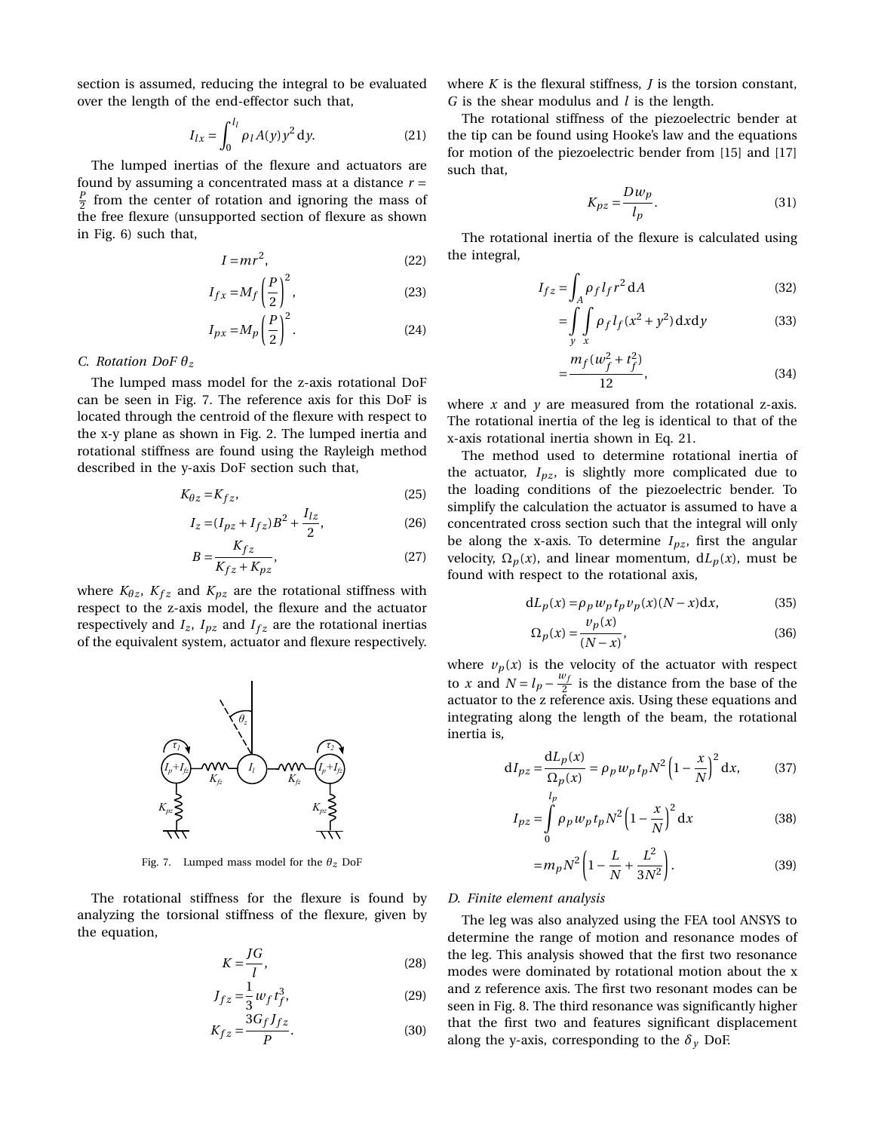section is assumed, reducing the integral to be evaluated over the length of the end-effector such that,

$$
I_{lx} = \int_0^{l_l} \rho_l A(y) y^2 \, dy.
$$
 (21)

The lumped inertias of the flexure and actuators are found by assuming a concentrated mass at a distance *r* =  $\frac{p}{2}$  from the center of rotation and ignoring the mass of the free flexure (unsupported section of flexure as shown in Fig. 6) such that,

$$
I = mr^2,\tag{22}
$$

$$
I_{fx} = M_f \left(\frac{P}{2}\right)^2,\tag{23}
$$

$$
I_{px} = M_p \left(\frac{P}{2}\right)^2.
$$
 (24)

### *C. Rotation DoF θ<sup>z</sup>*

The lumped mass model for the z-axis rotational DoF can be seen in Fig. 7. The reference axis for this DoF is located through the centroid of the flexure with respect to the x-y plane as shown in Fig. 2. The lumped inertia and rotational stiffness are found using the Rayleigh method described in the y-axis DoF section such that,

$$
K_{\theta z} = K_{fz},\tag{25}
$$

$$
I_z = (I_{pz} + I_{fz})B^2 + \frac{I_{lz}}{2},
$$
\n(26)

$$
B = \frac{K_{fz}}{K_{fz} + K_{pz}},\tag{27}
$$

where  $K_{\theta z}$ ,  $K_{f z}$  and  $K_{pz}$  are the rotational stiffness with respect to the z-axis model, the flexure and the actuator respectively and  $I_z$ ,  $I_{pz}$  and  $I_{fz}$  are the rotational inertias of the equivalent system, actuator and flexure respectively.



Fig. 7. Lumped mass model for the *θz* DoF

The rotational stiffness for the flexure is found by analyzing the torsional stiffness of the flexure, given by the equation,

$$
K = \frac{JG}{l},\tag{28}
$$

$$
J_{fz} = \frac{1}{3} w_f t_f^3,
$$
 (29)

$$
K_{fz} = \frac{3G_f J_{fz}}{P}.
$$
\n(30)

where *K* is the flexural stiffness, *J* is the torsion constant, *G* is the shear modulus and *l* is the length.

The rotational stiffness of the piezoelectric bender at the tip can be found using Hooke's law and the equations for motion of the piezoelectric bender from [15] and [17] such that,

$$
K_{pz} = \frac{Dw_p}{l_p}.\tag{31}
$$

The rotational inertia of the flexure is calculated using the integral,

$$
I_{fz} = \int_{A} \rho_f l_f r^2 dA \tag{32}
$$

$$
= \int\limits_{y} \int\limits_{x} \rho_f l_f(x^2 + y^2) \, \mathrm{d}x \, \mathrm{d}y \tag{33}
$$

$$
\frac{m_f(w_f^2 + t_f^2)}{12},\tag{34}
$$

where *x* and *y* are measured from the rotational z-axis. The rotational inertia of the leg is identical to that of the x-axis rotational inertia shown in Eq. 21.

=

The method used to determine rotational inertia of the actuator,  $I_{pz}$ , is slightly more complicated due to the loading conditions of the piezoelectric bender. To simplify the calculation the actuator is assumed to have a concentrated cross section such that the integral will only be along the x-axis. To determine  $I_{pz}$ , first the angular velocity,  $\Omega_p(x)$ , and linear momentum,  $dL_p(x)$ , must be found with respect to the rotational axis,

$$
dL_p(x) = \rho_p w_p t_p v_p(x) (N - x) dx, \qquad (35)
$$

$$
\Omega_p(x) = \frac{\nu_p(x)}{(N-x)},\tag{36}
$$

where  $v_p(x)$  is the velocity of the actuator with respect to *x* and  $N = l_p - \frac{w_f}{2}$  $\frac{\partial f}{\partial x}$  is the distance from the base of the actuator to the z reference axis. Using these equations and integrating along the length of the beam, the rotational inertia is,

$$
dI_{pz} = \frac{dL_p(x)}{\Omega_p(x)} = \rho_p w_p t_p N^2 \left(1 - \frac{x}{N}\right)^2 dx, \qquad (37)
$$

$$
I_{pz} = \int_{0}^{l_p} \rho_p w_p t_p N^2 \left(1 - \frac{x}{N}\right)^2 dx
$$
 (38)

$$
=m_p N^2 \left(1 - \frac{L}{N} + \frac{L^2}{3N^2}\right).
$$
 (39)

### *D. Finite element analysis*

The leg was also analyzed using the FEA tool ANSYS to determine the range of motion and resonance modes of the leg. This analysis showed that the first two resonance modes were dominated by rotational motion about the x and z reference axis. The first two resonant modes can be seen in Fig. 8. The third resonance was significantly higher that the first two and features significant displacement along the y-axis, corresponding to the  $\delta$ <sub>*y*</sub> DoF.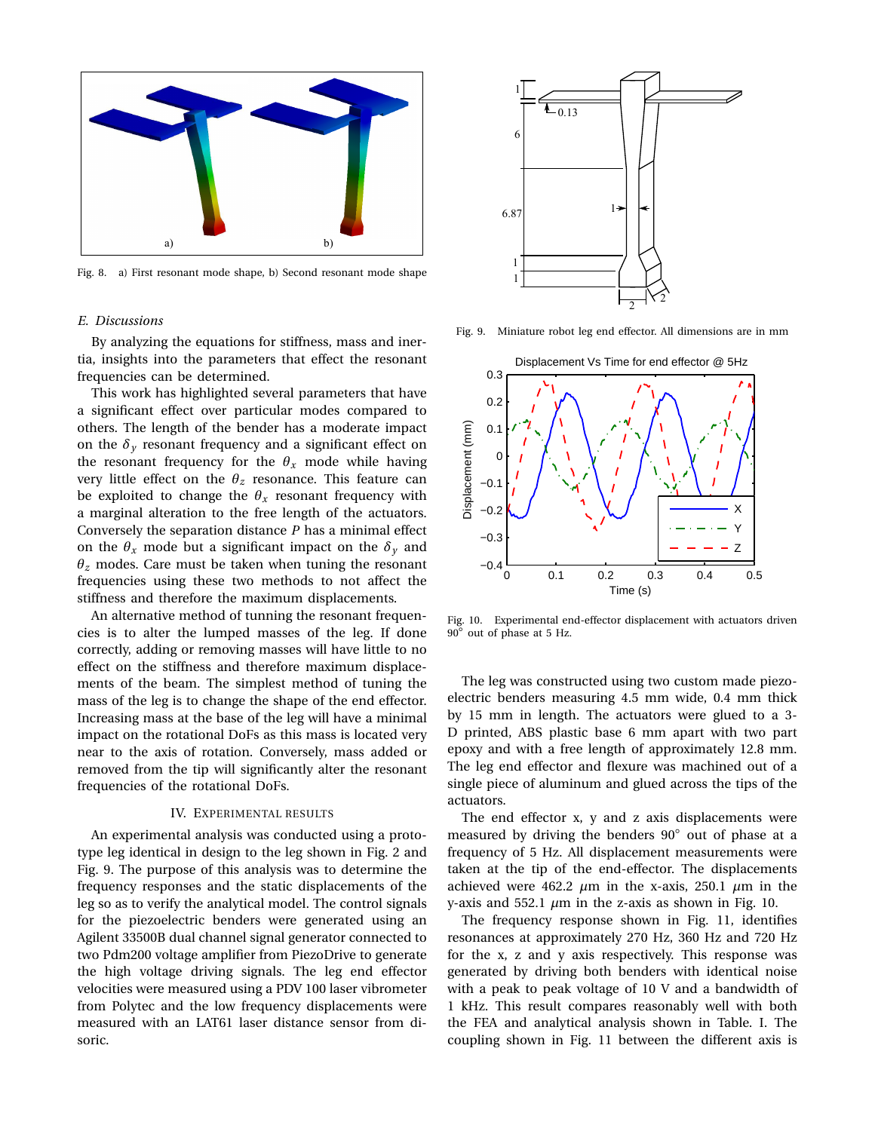

Fig. 8. a) First resonant mode shape, b) Second resonant mode shape

## *E. Discussions*

By analyzing the equations for stiffness, mass and inertia, insights into the parameters that effect the resonant frequencies can be determined.

This work has highlighted several parameters that have a significant effect over particular modes compared to others. The length of the bender has a moderate impact on the  $\delta$ <sup>*y*</sup> resonant frequency and a significant effect on the resonant frequency for the  $\theta_x$  mode while having very little effect on the  $\theta_z$  resonance. This feature can be exploited to change the  $\theta$ <sub>*x*</sub> resonant frequency with a marginal alteration to the free length of the actuators. Conversely the separation distance *P* has a minimal effect on the  $\theta_x$  mode but a significant impact on the  $\delta_y$  and  $\theta$ <sup>z</sup> modes. Care must be taken when tuning the resonant frequencies using these two methods to not affect the stiffness and therefore the maximum displacements.

An alternative method of tunning the resonant frequencies is to alter the lumped masses of the leg. If done correctly, adding or removing masses will have little to no effect on the stiffness and therefore maximum displacements of the beam. The simplest method of tuning the mass of the leg is to change the shape of the end effector. Increasing mass at the base of the leg will have a minimal impact on the rotational DoFs as this mass is located very near to the axis of rotation. Conversely, mass added or removed from the tip will significantly alter the resonant frequencies of the rotational DoFs.

#### IV. EXPERIMENTAL RESULTS

An experimental analysis was conducted using a prototype leg identical in design to the leg shown in Fig. 2 and Fig. 9. The purpose of this analysis was to determine the frequency responses and the static displacements of the leg so as to verify the analytical model. The control signals for the piezoelectric benders were generated using an Agilent 33500B dual channel signal generator connected to two Pdm200 voltage amplifier from PiezoDrive to generate the high voltage driving signals. The leg end effector velocities were measured using a PDV 100 laser vibrometer from Polytec and the low frequency displacements were measured with an LAT61 laser distance sensor from disoric.



Fig. 9. Miniature robot leg end effector. All dimensions are in mm



Fig. 10. Experimental end-effector displacement with actuators driven <sup>90</sup>◦ out of phase at 5 Hz.

The leg was constructed using two custom made piezoelectric benders measuring 4.5 mm wide, 0.4 mm thick by 15 mm in length. The actuators were glued to a 3- D printed, ABS plastic base 6 mm apart with two part epoxy and with a free length of approximately 12.8 mm. The leg end effector and flexure was machined out of a single piece of aluminum and glued across the tips of the actuators.

The end effector x, y and z axis displacements were measured by driving the benders 90◦ out of phase at a frequency of 5 Hz. All displacement measurements were taken at the tip of the end-effector. The displacements achieved were 462.2  $\mu$ m in the x-axis, 250.1  $\mu$ m in the y-axis and 552.1  $\mu$ m in the z-axis as shown in Fig. 10.

The frequency response shown in Fig. 11, identifies resonances at approximately 270 Hz, 360 Hz and 720 Hz for the x, z and y axis respectively. This response was generated by driving both benders with identical noise with a peak to peak voltage of 10 V and a bandwidth of 1 kHz. This result compares reasonably well with both the FEA and analytical analysis shown in Table. I. The coupling shown in Fig. 11 between the different axis is